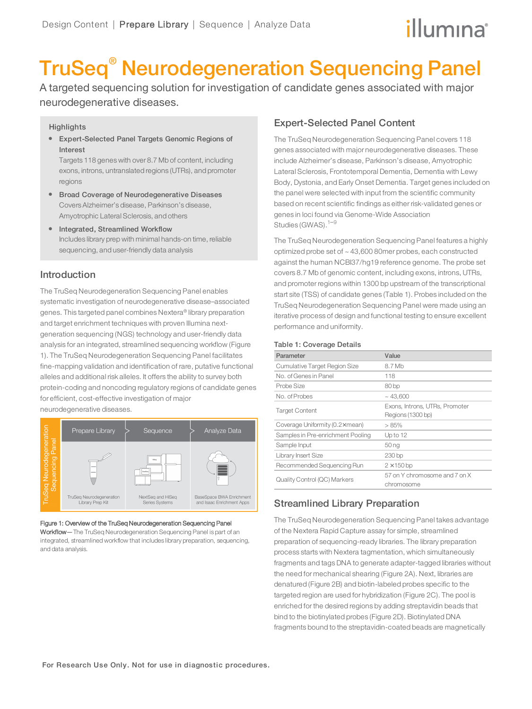## illumina®

# TruSeq® Neurodegeneration Sequencing Panel

A targeted sequencing solution for investigation of candidate genes associated with major neurodegenerative diseases.

#### **Highlights**

**Expert-Selected Panel Targets Genomic Regions of** Interest

Targets 118 genes with over 8.7 Mb of content, including exons, introns, untranslated regions (UTRs), and promoter regions

- **Broad Coverage of Neurodegenerative Diseases** Covers Alzheimer's disease, Parkinson's disease, Amyotrophic Lateral Sclerosis, and others
- Integrated, Streamlined Workflow Includes library prep with minimal hands-on time, reliable sequencing, and user-friendly data analysis

### Introduction

The TruSeq Neurodegeneration Sequencing Panel enables systematic investigation of neurodegenerative disease–associated genes. This targeted panel combines Nextera® library preparation and target enrichment techniques with proven Illumina nextgeneration sequencing (NGS) technology and user-friendly data analysis for an integrated, streamlined sequencing workflow (Figure 1). The TruSeq Neurodegeneration Sequencing Panel facilitates fine-mapping validation and identification of rare, putative functional alleles and additional risk alleles. It offers the ability to survey both protein-coding and noncoding regulatory regions of candidate genes for efficient, cost-effective investigation of major neurodegenerative diseases.



#### Figure 1: Overview of the TruSeq Neurodegeneration Sequencing Panel

Workflow—The TruSeq Neurodegeneration Sequencing Panel is part of an integrated, streamlined workflow that includes library preparation, sequencing, and data analysis.

## Expert-Selected Panel Content

The TruSeq Neurodegeneration Sequencing Panel covers 118 genes associated with major neurodegenerative diseases. These include Alzheimer's disease, Parkinson's disease, Amyotrophic Lateral Sclerosis, Frontotemporal Dementia, Dementia with Lewy Body, Dystonia, and Early Onset Dementia. Target genes included on the panel were selected with input from the scientific community based on recent scientific findings as either risk-validated genes or genes in loci found via Genome-Wide Association Studies (GWAS). $1-9$  $1-9$  $1-9$ 

The TruSeq Neurodegeneration Sequencing Panel features a highly optimized probe set of ~ 43,600 80mer probes, each constructed against the human NCBI37/hg19 reference genome. The probe set covers 8.7 Mb of genomic content, including exons, introns, UTRs, and promoter regions within 1300 bp upstream of the transcriptional start site (TSS) of candidate genes (Table 1). Probes included on the TruSeq Neurodegeneration Sequencing Panel were made using an iterative process of design and functional testing to ensure excellent performance and uniformity.

#### Table 1: Coverage Details

| Parameter                            | Value                          |
|--------------------------------------|--------------------------------|
| <b>Cumulative Target Region Size</b> | 8.7 Mb                         |
| No. of Genes in Panel                | 118                            |
| Probe Size                           | 80 bp                          |
| No. of Probes                        | ~143,600                       |
| <b>Target Content</b>                | Exons, Introns, UTRs, Promoter |
|                                      | Regions (1300 bp)              |
| Coverage Uniformity (0.2x mean)      | >85%                           |
| Samples in Pre-enrichment Pooling    | Up to 12                       |
| Sample Input                         | 50 ng                          |
| Library Insert Size                  | 230 bp                         |
| Recommended Sequencing Run           | $2 \times 150$ bp              |
| Quality Control (QC) Markers         | 57 on Y chromosome and 7 on X  |
|                                      | chromosome                     |
|                                      |                                |

## Streamlined Library Preparation

The TruSeq Neurodegeneration Sequencing Panel takes advantage of the Nextera Rapid Capture assay for simple, streamlined preparation of sequencing-ready libraries. The library preparation process starts with Nextera tagmentation, which simultaneously fragments and tags DNA to generate adapter-tagged libraries without the need for mechanical shearing (Figure 2A). Next, libraries are denatured (Figure 2B) and biotin-labeled probes specific to the targeted region are used for hybridization (Figure 2C). The pool is enriched for the desired regions by adding streptavidin beads that bind to the biotinylated probes (Figure 2D). Biotinylated DNA fragments bound to the streptavidin-coated beads are magnetically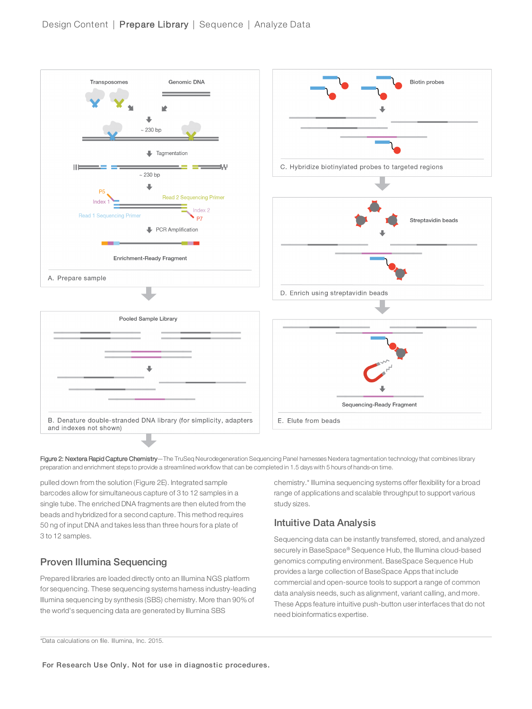

Figure 2: Nextera Rapid Capture Chemistry—The TruSeq Neurodegeneration Sequencing Panel harnesses Nextera tagmentation technology that combines library preparation and enrichment steps to provide a streamlined workflow that can be completed in 1.5 days with 5 hours of hands-on time.

pulled down from the solution (Figure 2E). Integrated sample barcodes allow for simultaneous capture of 3 to 12 samples in a single tube. The enriched DNA fragments are then eluted from the beads and hybridized for a second capture. This method requires 50 ng of input DNA and takes less than three hours for a plate of 3 to 12 samples.

## Proven Illumina Sequencing

Prepared libraries are loaded directly onto an Illumina NGS platform for sequencing. These sequencing systems harness industry-leading Illumina sequencing by synthesis (SBS) chemistry. More than 90% of the world's sequencing data are generated by Illumina SBS

chemistry.\* Illumina sequencing systems offer flexibility for a broad range of applications and scalable throughput to support various study sizes.

## Intuitive Data Analysis

Sequencing data can be instantly transferred, stored, and analyzed securely in BaseSpace® Sequence Hub, the Illumina cloud-based genomics computing environment. BaseSpace Sequence Hub provides a large collection of BaseSpace Apps that include commercial and open-source tools to support a range of common data analysis needs, such as alignment, variant calling, and more. These Apps feature intuitive push-button user interfaces that do not need bioinformatics expertise.

For Research Use Only. Not for use in diagnostic procedures.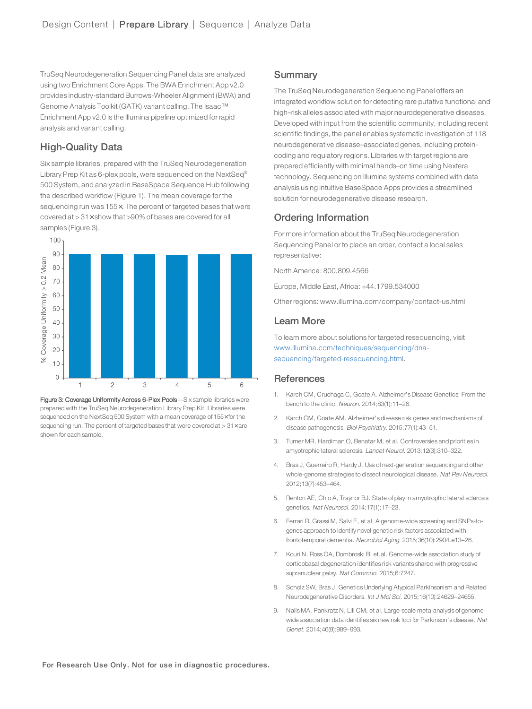TruSeq Neurodegeneration Sequencing Panel data are analyzed using two Enrichment Core Apps. The BWA Enrichment App v2.0 provides industry-standard Burrows-Wheeler Alignment (BWA) and Genome Analysis Toolkit (GATK) variant calling. The Isaac™ Enrichment App v2.0 is the Illumina pipeline optimized for rapid analysis and variant calling.

## High-Quality Data

Six sample libraries, prepared with the TruSeq Neurodegeneration Library Prep Kit as 6-plex pools, were sequenced on the NextSeq® 500 System, and analyzed in BaseSpace Sequence Hub following the described workflow (Figure 1). The mean coverage for the sequencing run was 155×. The percent of targeted bases that were covered at > 31× show that >90% of bases are covered for all samples (Figure 3).



Figure 3: Coverage Uniformity Across 6-Plex Pools - Six sample libraries were prepared with the TruSeq Neurodegeneration Library Prep Kit. Libraries were sequenced on the NextSeq 500 System with a mean coverage of 155 $\times$  for the sequencing run. The percent of targeted bases that were covered at  $>$  31 $\times$  are shown for each sample.

### Summary

The TruSeq Neurodegeneration Sequencing Panel offers an integrated workflow solution for detecting rare putative functional and high–risk alleles associated with major neurodegenerative diseases. Developed with input from the scientific community, including recent scientific findings, the panel enables systematic investigation of 118 neurodegenerative disease–associated genes, including proteincoding and regulatory regions. Libraries with target regions are prepared efficiently with minimal hands–on time using Nextera technology. Sequencing on Illumina systems combined with data analysis using intuitive BaseSpace Apps provides a streamlined solution for neurodegenerative disease research.

## Ordering Information

For more information about the TruSeq Neurodegeneration Sequencing Panel or to place an order, contact a local sales representative:

North America: 800.809.4566

Europe, Middle East, Africa: +44.1799.534000

Other regions: www.illumina.com/company/contact-us.html

### Learn More

To learn more about solutions for targeted resequencing, visit www.illumina.com/techniques/sequencing/dnasequencing/targeted-resequencing.html.

#### <span id="page-2-0"></span>**References**

- 1. Karch CM, Cruchaga C, Goate A. Alzheimer's Disease Genetics: From the bench to the clinic. Neuron. 2014;83(1):11–26.
- 2. Karch CM, Goate AM. Alzheimer's disease risk genes and mechanisms of disease pathogenesis. Biol Psychiatry. 2015;77(1):43–51.
- 3. Turner MR, Hardiman O, Benatar M, et al. Controversies and priorities in amyotrophic lateral sclerosis. Lancet Neurol. 2013;12(3):310–322.
- 4. Bras J, Guerreiro R, Hardy J. Use of next-generation sequencing and other whole-genome strategies to dissect neurological disease. Nat Rev Neurosci. 2012;13(7):453–464.
- 5. Renton AE, Chio A, Traynor BJ. State of play in amyotrophic lateral sclerosis genetics. Nat Neurosci. 2014;17(1):17–23.
- 6. Ferrari R, Grassi M, Salvi E, et al. A genome-wide screening and SNPs-togenes approach to identify novel genetic risk factors associated with frontotemporal dementia. Neurobiol Aging. 2015;36(10):2904.e13–26.
- 7. Kouri N, Ross OA, Dombroski B, et.al. Genome-wide association study of corticobasal degeneration identifies risk variants shared with progressive supranuclear palsy. Nat Commun. 2015;6:7247.
- <span id="page-2-1"></span>8. Scholz SW, Bras J. Genetics Underlying Atypical Parkinsonism and Related Neurodegenerative Disorders. Int J Mol Sci. 2015;16(10):24629–24655.
- 9. Nalls MA, Pankratz N, Lill CM, et al. Large-scale meta-analysis of genomewide association data identifies six new risk loci for Parkinson's disease. Nat Genet. 2014;46(9):989–993.